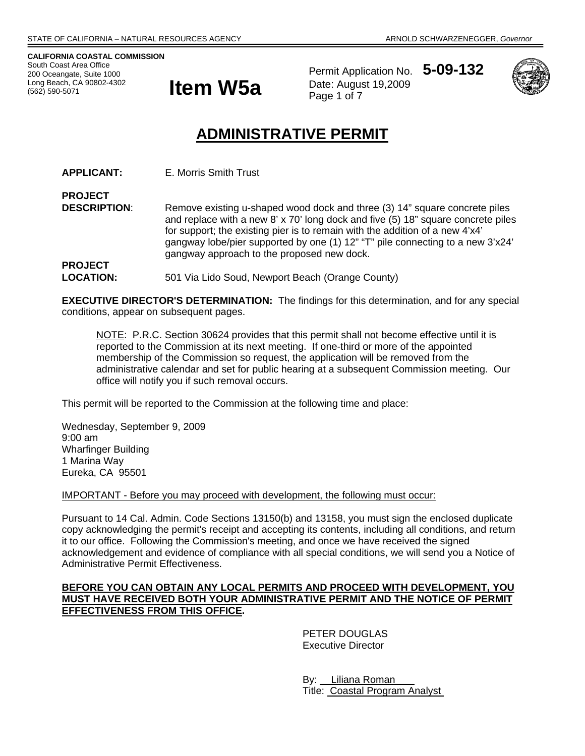**CALIFORNIA COASTAL COMMISSION**  South Coast Area Office 200 Oceangate, Suite 1000 (562) 590-5071



Permit Application No. **5-09-132** Date: August 19,2009 Page 1 of 7



# **ADMINISTRATIVE PERMIT**

**APPLICANT:** E. Morris Smith Trust

**PROJECT DESCRIPTION:** Remove existing u-shaped wood dock and three (3) 14" square concrete piles and replace with a new 8' x 70' long dock and five (5) 18" square concrete piles for support; the existing pier is to remain with the addition of a new 4'x4' gangway lobe/pier supported by one (1) 12" "T" pile connecting to a new 3'x24' gangway approach to the proposed new dock. **PROJECT** 

LOCATION: 501 Via Lido Soud, Newport Beach (Orange County)

**EXECUTIVE DIRECTOR'S DETERMINATION:** The findings for this determination, and for any special conditions, appear on subsequent pages.

NOTE: P.R.C. Section 30624 provides that this permit shall not become effective until it is reported to the Commission at its next meeting. If one-third or more of the appointed membership of the Commission so request, the application will be removed from the administrative calendar and set for public hearing at a subsequent Commission meeting. Our office will notify you if such removal occurs.

This permit will be reported to the Commission at the following time and place:

Wednesday, September 9, 2009 9:00 am Wharfinger Building 1 Marina Way Eureka, CA 95501

IMPORTANT - Before you may proceed with development, the following must occur:

Pursuant to 14 Cal. Admin. Code Sections 13150(b) and 13158, you must sign the enclosed duplicate copy acknowledging the permit's receipt and accepting its contents, including all conditions, and return it to our office. Following the Commission's meeting, and once we have received the signed acknowledgement and evidence of compliance with all special conditions, we will send you a Notice of Administrative Permit Effectiveness.

## **BEFORE YOU CAN OBTAIN ANY LOCAL PERMITS AND PROCEED WITH DEVELOPMENT, YOU MUST HAVE RECEIVED BOTH YOUR ADMINISTRATIVE PERMIT AND THE NOTICE OF PERMIT EFFECTIVENESS FROM THIS OFFICE.**

 PETER DOUGLAS Executive Director

 By: Liliana Roman Title: Coastal Program Analyst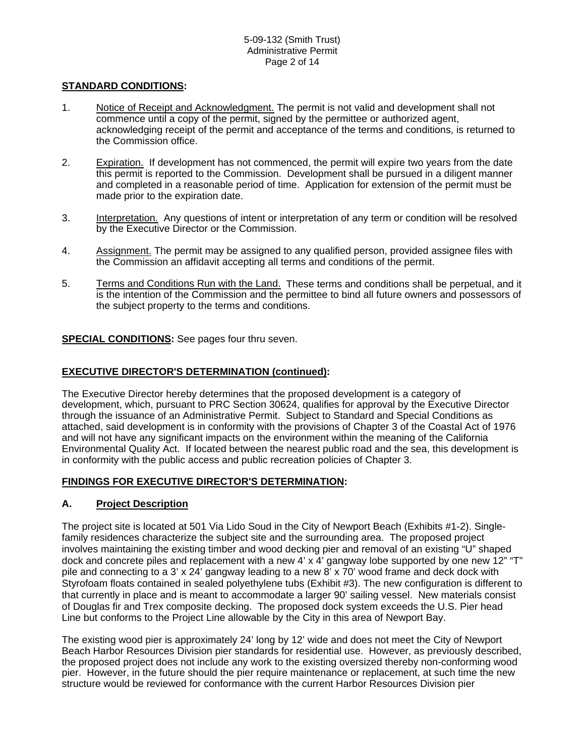## **STANDARD CONDITIONS:**

- 1. Notice of Receipt and Acknowledgment. The permit is not valid and development shall not commence until a copy of the permit, signed by the permittee or authorized agent, acknowledging receipt of the permit and acceptance of the terms and conditions, is returned to the Commission office.
- 2. Expiration. If development has not commenced, the permit will expire two years from the date this permit is reported to the Commission. Development shall be pursued in a diligent manner and completed in a reasonable period of time. Application for extension of the permit must be made prior to the expiration date.
- 3. Interpretation. Any questions of intent or interpretation of any term or condition will be resolved by the Executive Director or the Commission.
- 4. Assignment. The permit may be assigned to any qualified person, provided assignee files with the Commission an affidavit accepting all terms and conditions of the permit.
- 5. Terms and Conditions Run with the Land. These terms and conditions shall be perpetual, and it is the intention of the Commission and the permittee to bind all future owners and possessors of the subject property to the terms and conditions.

## **SPECIAL CONDITIONS:** See pages four thru seven.

## **EXECUTIVE DIRECTOR'S DETERMINATION (continued):**

The Executive Director hereby determines that the proposed development is a category of development, which, pursuant to PRC Section 30624, qualifies for approval by the Executive Director through the issuance of an Administrative Permit. Subject to Standard and Special Conditions as attached, said development is in conformity with the provisions of Chapter 3 of the Coastal Act of 1976 and will not have any significant impacts on the environment within the meaning of the California Environmental Quality Act. If located between the nearest public road and the sea, this development is in conformity with the public access and public recreation policies of Chapter 3.

## **FINDINGS FOR EXECUTIVE DIRECTOR'S DETERMINATION:**

# **A. Project Description**

The project site is located at 501 Via Lido Soud in the City of Newport Beach (Exhibits #1-2). Singlefamily residences characterize the subject site and the surrounding area. The proposed project involves maintaining the existing timber and wood decking pier and removal of an existing "U" shaped dock and concrete piles and replacement with a new 4' x 4' gangway lobe supported by one new 12" "T" pile and connecting to a 3' x 24' gangway leading to a new 8' x 70' wood frame and deck dock with Styrofoam floats contained in sealed polyethylene tubs (Exhibit #3). The new configuration is different to that currently in place and is meant to accommodate a larger 90' sailing vessel. New materials consist of Douglas fir and Trex composite decking. The proposed dock system exceeds the U.S. Pier head Line but conforms to the Project Line allowable by the City in this area of Newport Bay.

The existing wood pier is approximately 24' long by 12' wide and does not meet the City of Newport Beach Harbor Resources Division pier standards for residential use. However, as previously described, the proposed project does not include any work to the existing oversized thereby non-conforming wood pier. However, in the future should the pier require maintenance or replacement, at such time the new structure would be reviewed for conformance with the current Harbor Resources Division pier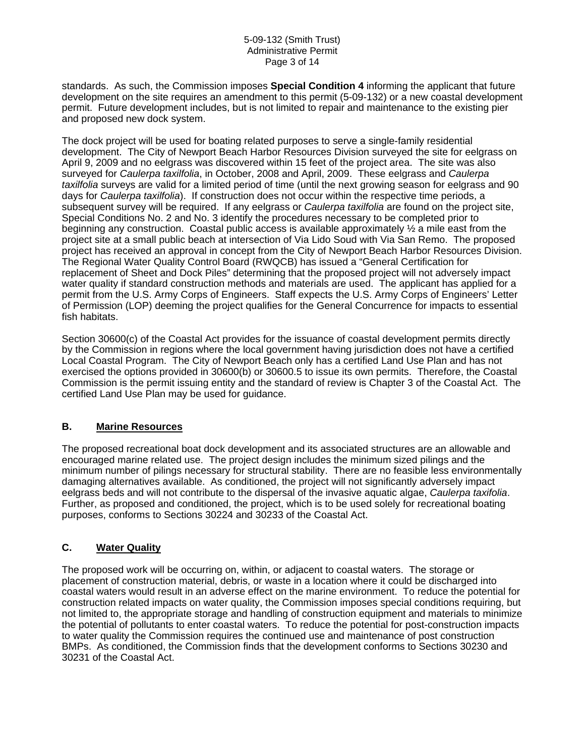#### 5-09-132 (Smith Trust) Administrative Permit Page 3 of 14

standards. As such, the Commission imposes **Special Condition 4** informing the applicant that future development on the site requires an amendment to this permit (5-09-132) or a new coastal development permit. Future development includes, but is not limited to repair and maintenance to the existing pier and proposed new dock system.

The dock project will be used for boating related purposes to serve a single-family residential development. The City of Newport Beach Harbor Resources Division surveyed the site for eelgrass on April 9, 2009 and no eelgrass was discovered within 15 feet of the project area. The site was also surveyed for *Caulerpa taxilfolia*, in October, 2008 and April, 2009. These eelgrass and *Caulerpa taxilfolia* surveys are valid for a limited period of time (until the next growing season for eelgrass and 90 days for *Caulerpa taxilfolia*). If construction does not occur within the respective time periods, a subsequent survey will be required. If any eelgrass or *Caulerpa taxilfolia* are found on the project site, Special Conditions No. 2 and No. 3 identify the procedures necessary to be completed prior to beginning any construction. Coastal public access is available approximately ½ a mile east from the project site at a small public beach at intersection of Via Lido Soud with Via San Remo. The proposed project has received an approval in concept from the City of Newport Beach Harbor Resources Division. The Regional Water Quality Control Board (RWQCB) has issued a "General Certification for replacement of Sheet and Dock Piles" determining that the proposed project will not adversely impact water quality if standard construction methods and materials are used. The applicant has applied for a permit from the U.S. Army Corps of Engineers. Staff expects the U.S. Army Corps of Engineers' Letter of Permission (LOP) deeming the project qualifies for the General Concurrence for impacts to essential fish habitats.

Section 30600(c) of the Coastal Act provides for the issuance of coastal development permits directly by the Commission in regions where the local government having jurisdiction does not have a certified Local Coastal Program. The City of Newport Beach only has a certified Land Use Plan and has not exercised the options provided in 30600(b) or 30600.5 to issue its own permits. Therefore, the Coastal Commission is the permit issuing entity and the standard of review is Chapter 3 of the Coastal Act. The certified Land Use Plan may be used for guidance.

## **B. Marine Resources**

The proposed recreational boat dock development and its associated structures are an allowable and encouraged marine related use. The project design includes the minimum sized pilings and the minimum number of pilings necessary for structural stability. There are no feasible less environmentally damaging alternatives available. As conditioned, the project will not significantly adversely impact eelgrass beds and will not contribute to the dispersal of the invasive aquatic algae, *Caulerpa taxifolia*. Further, as proposed and conditioned, the project, which is to be used solely for recreational boating purposes, conforms to Sections 30224 and 30233 of the Coastal Act.

# **C. Water Quality**

The proposed work will be occurring on, within, or adjacent to coastal waters. The storage or placement of construction material, debris, or waste in a location where it could be discharged into coastal waters would result in an adverse effect on the marine environment. To reduce the potential for construction related impacts on water quality, the Commission imposes special conditions requiring, but not limited to, the appropriate storage and handling of construction equipment and materials to minimize the potential of pollutants to enter coastal waters. To reduce the potential for post-construction impacts to water quality the Commission requires the continued use and maintenance of post construction BMPs. As conditioned, the Commission finds that the development conforms to Sections 30230 and 30231 of the Coastal Act.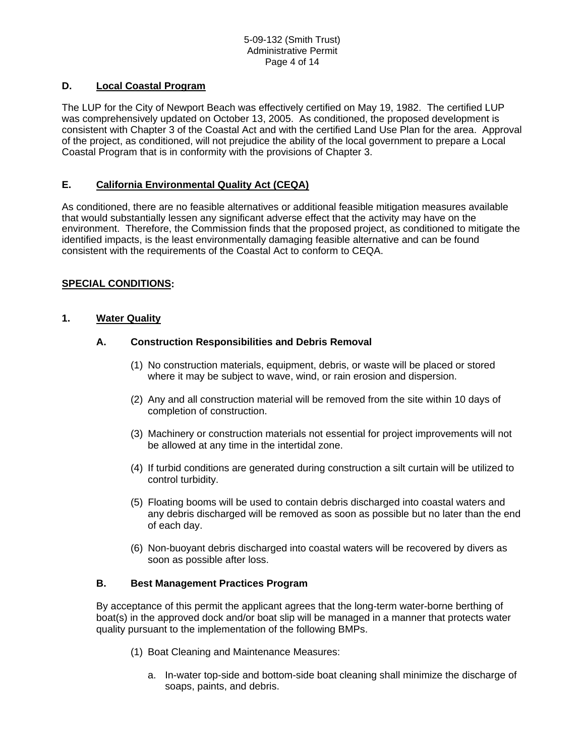# **D. Local Coastal Program**

The LUP for the City of Newport Beach was effectively certified on May 19, 1982. The certified LUP was comprehensively updated on October 13, 2005. As conditioned, the proposed development is consistent with Chapter 3 of the Coastal Act and with the certified Land Use Plan for the area. Approval of the project, as conditioned, will not prejudice the ability of the local government to prepare a Local Coastal Program that is in conformity with the provisions of Chapter 3.

## **E. California Environmental Quality Act (CEQA)**

As conditioned, there are no feasible alternatives or additional feasible mitigation measures available that would substantially lessen any significant adverse effect that the activity may have on the environment. Therefore, the Commission finds that the proposed project, as conditioned to mitigate the identified impacts, is the least environmentally damaging feasible alternative and can be found consistent with the requirements of the Coastal Act to conform to CEQA.

# **SPECIAL CONDITIONS:**

## **1. Water Quality**

## **A. Construction Responsibilities and Debris Removal**

- (1) No construction materials, equipment, debris, or waste will be placed or stored where it may be subject to wave, wind, or rain erosion and dispersion.
- (2) Any and all construction material will be removed from the site within 10 days of completion of construction.
- (3) Machinery or construction materials not essential for project improvements will not be allowed at any time in the intertidal zone.
- (4) If turbid conditions are generated during construction a silt curtain will be utilized to control turbidity.
- (5) Floating booms will be used to contain debris discharged into coastal waters and any debris discharged will be removed as soon as possible but no later than the end of each day.
- (6) Non-buoyant debris discharged into coastal waters will be recovered by divers as soon as possible after loss.

## **B. Best Management Practices Program**

By acceptance of this permit the applicant agrees that the long-term water-borne berthing of boat(s) in the approved dock and/or boat slip will be managed in a manner that protects water quality pursuant to the implementation of the following BMPs.

- (1) Boat Cleaning and Maintenance Measures:
	- a. In-water top-side and bottom-side boat cleaning shall minimize the discharge of soaps, paints, and debris.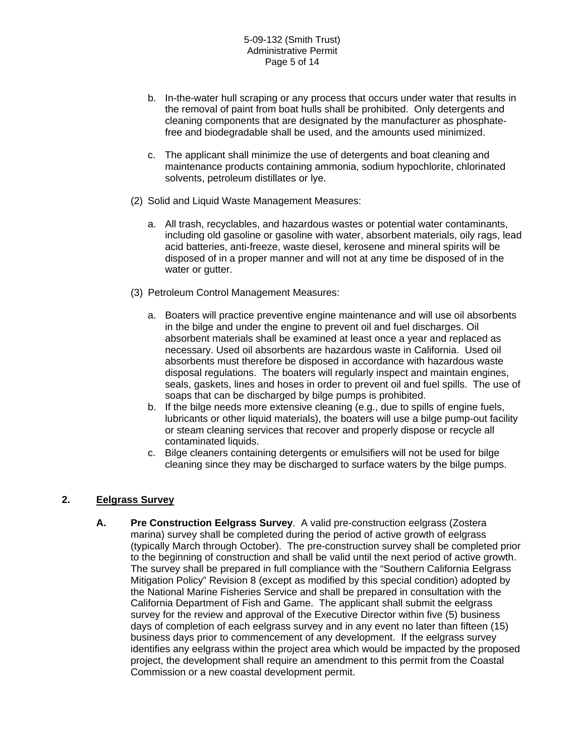- b. In-the-water hull scraping or any process that occurs under water that results in the removal of paint from boat hulls shall be prohibited. Only detergents and cleaning components that are designated by the manufacturer as phosphatefree and biodegradable shall be used, and the amounts used minimized.
- c. The applicant shall minimize the use of detergents and boat cleaning and maintenance products containing ammonia, sodium hypochlorite, chlorinated solvents, petroleum distillates or lye.
- (2) Solid and Liquid Waste Management Measures:
	- a. All trash, recyclables, and hazardous wastes or potential water contaminants, including old gasoline or gasoline with water, absorbent materials, oily rags, lead acid batteries, anti-freeze, waste diesel, kerosene and mineral spirits will be disposed of in a proper manner and will not at any time be disposed of in the water or gutter.
- (3) Petroleum Control Management Measures:
	- a. Boaters will practice preventive engine maintenance and will use oil absorbents in the bilge and under the engine to prevent oil and fuel discharges. Oil absorbent materials shall be examined at least once a year and replaced as necessary. Used oil absorbents are hazardous waste in California. Used oil absorbents must therefore be disposed in accordance with hazardous waste disposal regulations. The boaters will regularly inspect and maintain engines, seals, gaskets, lines and hoses in order to prevent oil and fuel spills. The use of soaps that can be discharged by bilge pumps is prohibited.
	- b. If the bilge needs more extensive cleaning (e.g., due to spills of engine fuels, lubricants or other liquid materials), the boaters will use a bilge pump-out facility or steam cleaning services that recover and properly dispose or recycle all contaminated liquids.
	- c. Bilge cleaners containing detergents or emulsifiers will not be used for bilge cleaning since they may be discharged to surface waters by the bilge pumps.

## **2. Eelgrass Survey**

**A. Pre Construction Eelgrass Survey**. A valid pre-construction eelgrass (Zostera marina) survey shall be completed during the period of active growth of eelgrass (typically March through October). The pre-construction survey shall be completed prior to the beginning of construction and shall be valid until the next period of active growth. The survey shall be prepared in full compliance with the "Southern California Eelgrass Mitigation Policy" Revision 8 (except as modified by this special condition) adopted by the National Marine Fisheries Service and shall be prepared in consultation with the California Department of Fish and Game. The applicant shall submit the eelgrass survey for the review and approval of the Executive Director within five (5) business days of completion of each eelgrass survey and in any event no later than fifteen (15) business days prior to commencement of any development. If the eelgrass survey identifies any eelgrass within the project area which would be impacted by the proposed project, the development shall require an amendment to this permit from the Coastal Commission or a new coastal development permit.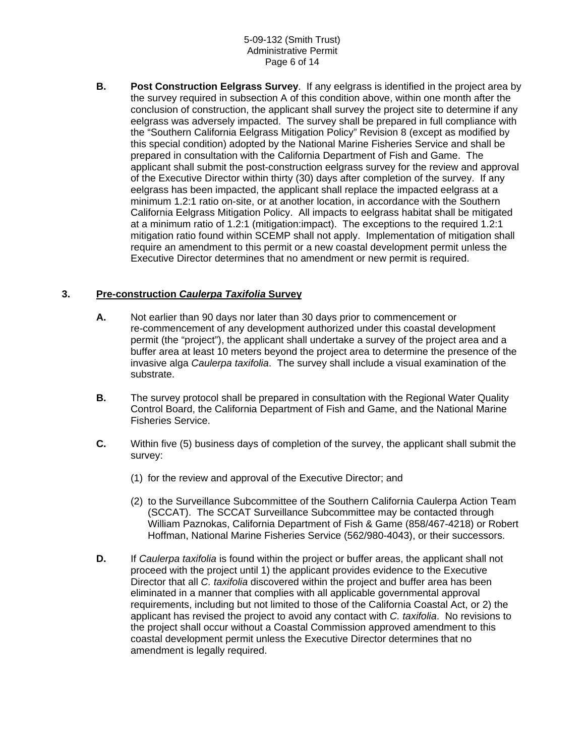#### 5-09-132 (Smith Trust) Administrative Permit Page 6 of 14

**B. Post Construction Eelgrass Survey**. If any eelgrass is identified in the project area by the survey required in subsection A of this condition above, within one month after the conclusion of construction, the applicant shall survey the project site to determine if any eelgrass was adversely impacted. The survey shall be prepared in full compliance with the "Southern California Eelgrass Mitigation Policy" Revision 8 (except as modified by this special condition) adopted by the National Marine Fisheries Service and shall be prepared in consultation with the California Department of Fish and Game. The applicant shall submit the post-construction eelgrass survey for the review and approval of the Executive Director within thirty (30) days after completion of the survey. If any eelgrass has been impacted, the applicant shall replace the impacted eelgrass at a minimum 1.2:1 ratio on-site, or at another location, in accordance with the Southern California Eelgrass Mitigation Policy. All impacts to eelgrass habitat shall be mitigated at a minimum ratio of 1.2:1 (mitigation:impact). The exceptions to the required 1.2:1 mitigation ratio found within SCEMP shall not apply. Implementation of mitigation shall require an amendment to this permit or a new coastal development permit unless the Executive Director determines that no amendment or new permit is required.

# **3. Pre-construction** *Caulerpa Taxifolia* **Survey**

- **A.** Not earlier than 90 days nor later than 30 days prior to commencement or re-commencement of any development authorized under this coastal development permit (the "project"), the applicant shall undertake a survey of the project area and a buffer area at least 10 meters beyond the project area to determine the presence of the invasive alga *Caulerpa taxifolia*. The survey shall include a visual examination of the substrate.
- **B.** The survey protocol shall be prepared in consultation with the Regional Water Quality Control Board, the California Department of Fish and Game, and the National Marine Fisheries Service.
- **C.** Within five (5) business days of completion of the survey, the applicant shall submit the survey:
	- (1) for the review and approval of the Executive Director; and
	- (2) to the Surveillance Subcommittee of the Southern California Caulerpa Action Team (SCCAT). The SCCAT Surveillance Subcommittee may be contacted through William Paznokas, California Department of Fish & Game (858/467-4218) or Robert Hoffman, National Marine Fisheries Service (562/980-4043), or their successors.
- **D.** If *Caulerpa taxifolia* is found within the project or buffer areas, the applicant shall not proceed with the project until 1) the applicant provides evidence to the Executive Director that all *C. taxifolia* discovered within the project and buffer area has been eliminated in a manner that complies with all applicable governmental approval requirements, including but not limited to those of the California Coastal Act, or 2) the applicant has revised the project to avoid any contact with *C. taxifolia*. No revisions to the project shall occur without a Coastal Commission approved amendment to this coastal development permit unless the Executive Director determines that no amendment is legally required.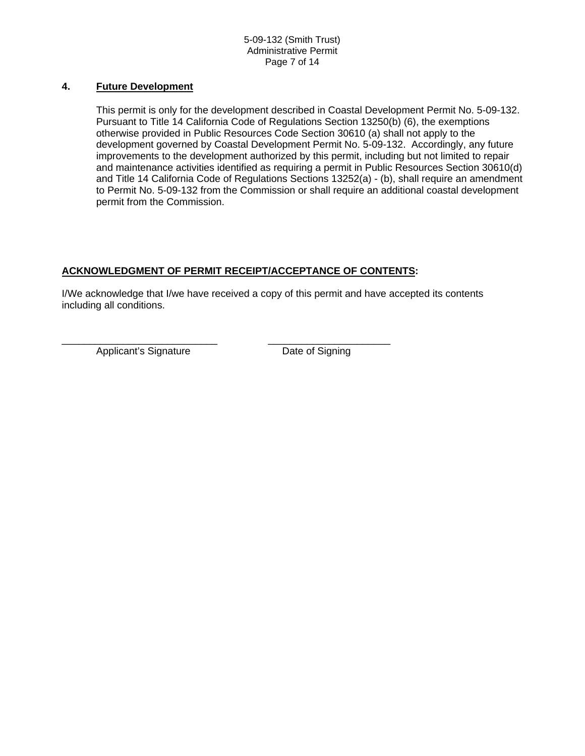## **4. Future Development**

This permit is only for the development described in Coastal Development Permit No. 5-09-132. Pursuant to Title 14 California Code of Regulations Section 13250(b) (6), the exemptions otherwise provided in Public Resources Code Section 30610 (a) shall not apply to the development governed by Coastal Development Permit No. 5-09-132. Accordingly, any future improvements to the development authorized by this permit, including but not limited to repair and maintenance activities identified as requiring a permit in Public Resources Section 30610(d) and Title 14 California Code of Regulations Sections 13252(a) - (b), shall require an amendment to Permit No. 5-09-132 from the Commission or shall require an additional coastal development permit from the Commission.

# **ACKNOWLEDGMENT OF PERMIT RECEIPT/ACCEPTANCE OF CONTENTS:**

I/We acknowledge that I/we have received a copy of this permit and have accepted its contents including all conditions.

Applicant's Signature Date of Signing

\_\_\_\_\_\_\_\_\_\_\_\_\_\_\_\_\_\_\_\_\_\_\_\_\_\_\_\_ \_\_\_\_\_\_\_\_\_\_\_\_\_\_\_\_\_\_\_\_\_\_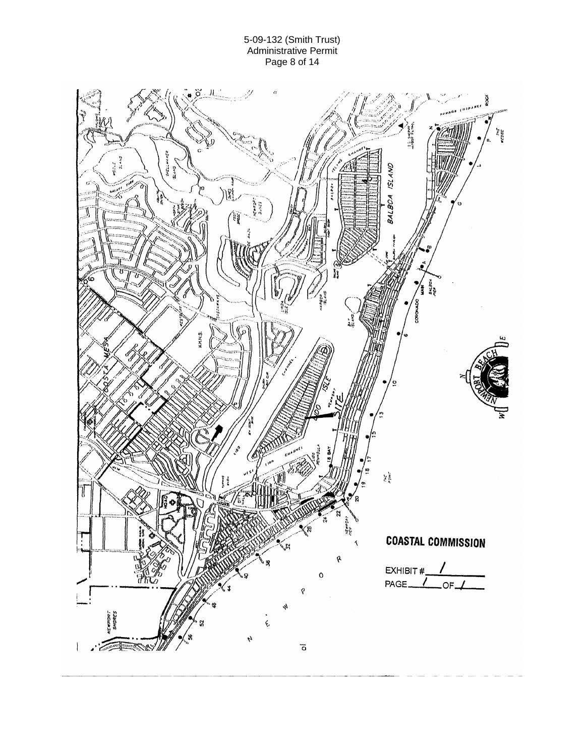#### 5-09-132 (Smith Trust) Administrative Permit Page 8 of 14

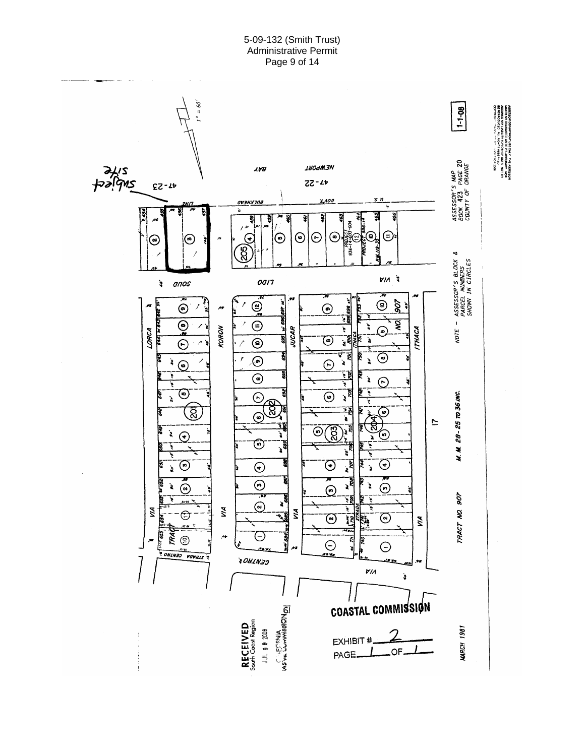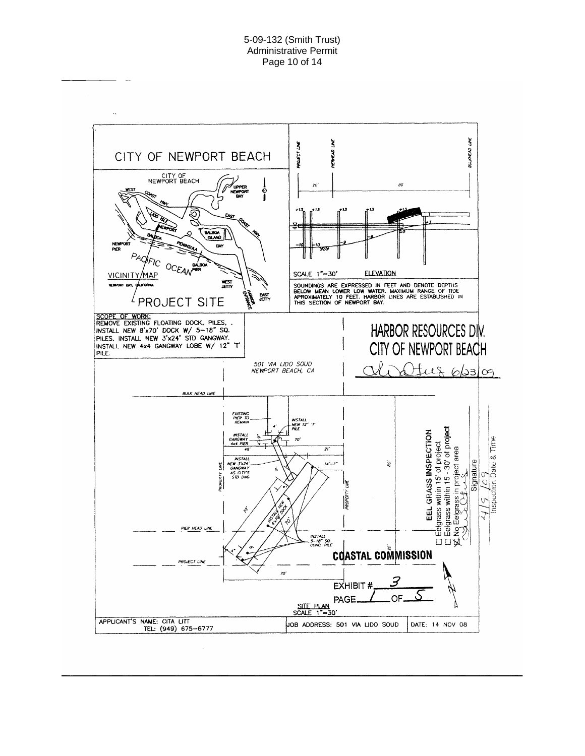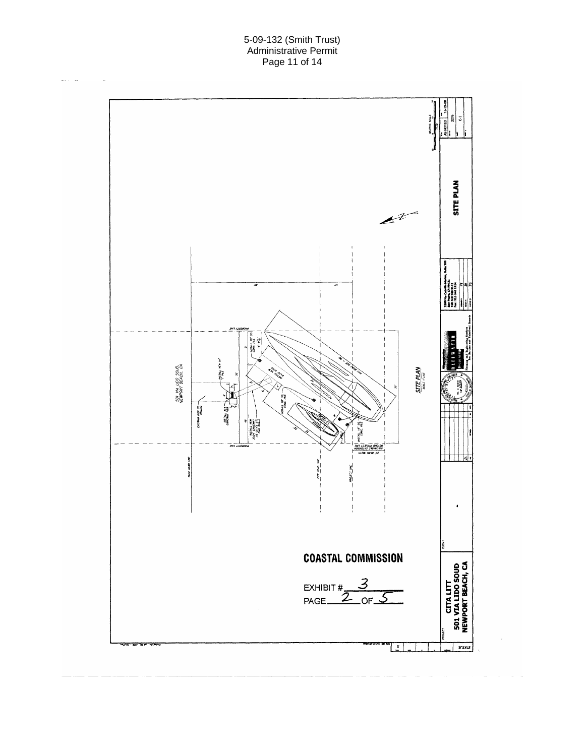#### 5-09-132 (Smith Trust) Administrative Permit Page 11 of 14

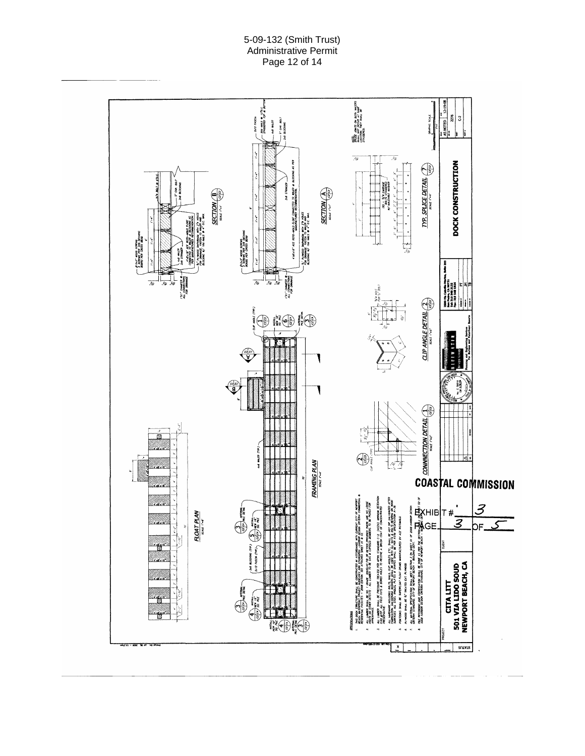### 5-09-132 (Smith Trust) Administrative Permit Page 12 of 14

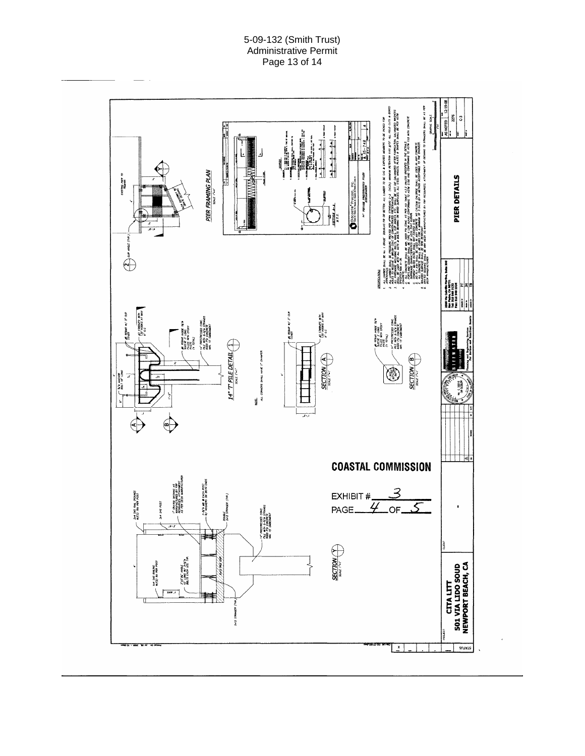## 5-09-132 (Smith Trust) Administrative Permit Page 13 of 14